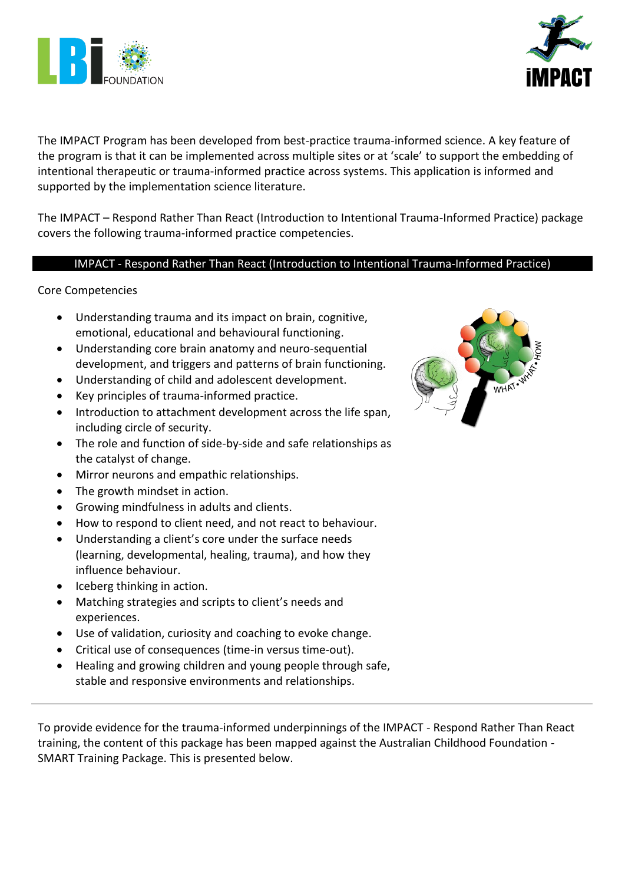



The IMPACT Program has been developed from best-practice trauma-informed science. A key feature of the program is that it can be implemented across multiple sites or at 'scale' to support the embedding of intentional therapeutic or trauma-informed practice across systems. This application is informed and supported by the implementation science literature.

The IMPACT – Respond Rather Than React (Introduction to Intentional Trauma-Informed Practice) package covers the following trauma-informed practice competencies.

## IMPACT - Respond Rather Than React (Introduction to Intentional Trauma-Informed Practice)

Core Competencies

- Understanding trauma and its impact on brain, cognitive, emotional, educational and behavioural functioning.
- Understanding core brain anatomy and neuro-sequential development, and triggers and patterns of brain functioning.
- Understanding of child and adolescent development.
- Key principles of trauma-informed practice.
- Introduction to attachment development across the life span, including circle of security.
- The role and function of side-by-side and safe relationships as the catalyst of change.
- Mirror neurons and empathic relationships.
- The growth mindset in action.
- Growing mindfulness in adults and clients.
- How to respond to client need, and not react to behaviour.
- Understanding a client's core under the surface needs (learning, developmental, healing, trauma), and how they influence behaviour.
- Iceberg thinking in action.
- Matching strategies and scripts to client's needs and experiences.
- Use of validation, curiosity and coaching to evoke change.
- Critical use of consequences (time-in versus time-out).
- Healing and growing children and young people through safe, stable and responsive environments and relationships.



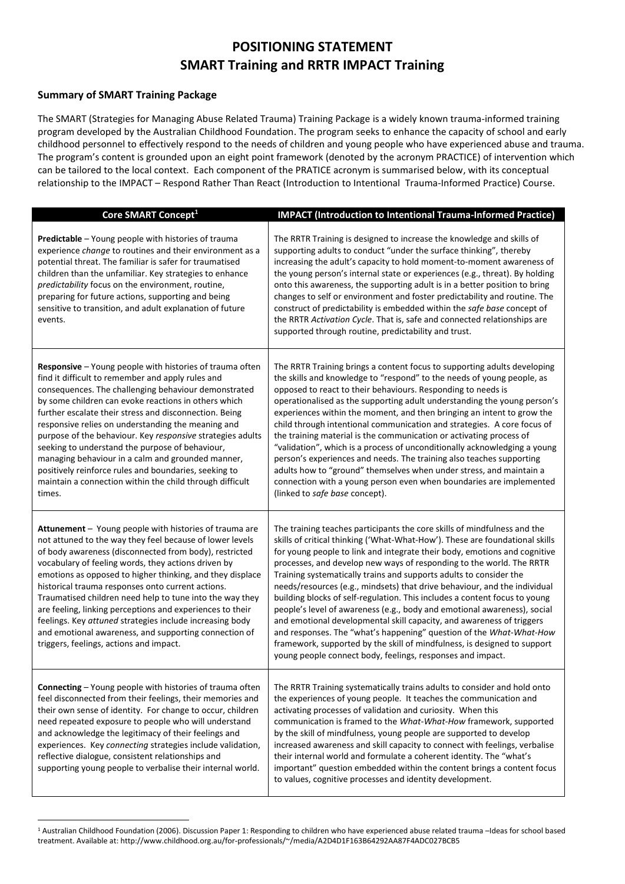## **POSITIONING STATEMENT SMART Training and RRTR IMPACT Training**

## **Summary of SMART Training Package**

The SMART (Strategies for Managing Abuse Related Trauma) Training Package is a widely known trauma-informed training program developed by the Australian Childhood Foundation. The program seeks to enhance the capacity of school and early childhood personnel to effectively respond to the needs of children and young people who have experienced abuse and trauma. The program's content is grounded upon an eight point framework (denoted by the acronym PRACTICE) of intervention which can be tailored to the local context. Each component of the PRATICE acronym is summarised below, with its conceptual relationship to the IMPACT – Respond Rather Than React (Introduction to Intentional Trauma-Informed Practice) Course.

| Core SMART Concept <sup>1</sup>                                                                                                                                                                                                                                                                                                                                                                                                                                                                                                                                                                                                                           | <b>IMPACT</b> (Introduction to Intentional Trauma-Informed Practice)                                                                                                                                                                                                                                                                                                                                                                                                                                                                                                                                                                                                                                                                                                                                                                                                                                                 |
|-----------------------------------------------------------------------------------------------------------------------------------------------------------------------------------------------------------------------------------------------------------------------------------------------------------------------------------------------------------------------------------------------------------------------------------------------------------------------------------------------------------------------------------------------------------------------------------------------------------------------------------------------------------|----------------------------------------------------------------------------------------------------------------------------------------------------------------------------------------------------------------------------------------------------------------------------------------------------------------------------------------------------------------------------------------------------------------------------------------------------------------------------------------------------------------------------------------------------------------------------------------------------------------------------------------------------------------------------------------------------------------------------------------------------------------------------------------------------------------------------------------------------------------------------------------------------------------------|
| <b>Predictable</b> – Young people with histories of trauma<br>experience change to routines and their environment as a<br>potential threat. The familiar is safer for traumatised<br>children than the unfamiliar. Key strategies to enhance<br>predictability focus on the environment, routine,<br>preparing for future actions, supporting and being<br>sensitive to transition, and adult explanation of future<br>events.                                                                                                                                                                                                                            | The RRTR Training is designed to increase the knowledge and skills of<br>supporting adults to conduct "under the surface thinking", thereby<br>increasing the adult's capacity to hold moment-to-moment awareness of<br>the young person's internal state or experiences (e.g., threat). By holding<br>onto this awareness, the supporting adult is in a better position to bring<br>changes to self or environment and foster predictability and routine. The<br>construct of predictability is embedded within the safe base concept of<br>the RRTR Activation Cycle. That is, safe and connected relationships are<br>supported through routine, predictability and trust.                                                                                                                                                                                                                                        |
| <b>Responsive</b> – Young people with histories of trauma often<br>find it difficult to remember and apply rules and<br>consequences. The challenging behaviour demonstrated<br>by some children can evoke reactions in others which<br>further escalate their stress and disconnection. Being<br>responsive relies on understanding the meaning and<br>purpose of the behaviour. Key responsive strategies adults<br>seeking to understand the purpose of behaviour,<br>managing behaviour in a calm and grounded manner,<br>positively reinforce rules and boundaries, seeking to<br>maintain a connection within the child through difficult<br>times. | The RRTR Training brings a content focus to supporting adults developing<br>the skills and knowledge to "respond" to the needs of young people, as<br>opposed to react to their behaviours. Responding to needs is<br>operationalised as the supporting adult understanding the young person's<br>experiences within the moment, and then bringing an intent to grow the<br>child through intentional communication and strategies. A core focus of<br>the training material is the communication or activating process of<br>"validation", which is a process of unconditionally acknowledging a young<br>person's experiences and needs. The training also teaches supporting<br>adults how to "ground" themselves when under stress, and maintain a<br>connection with a young person even when boundaries are implemented<br>(linked to safe base concept).                                                      |
| Attunement - Young people with histories of trauma are<br>not attuned to the way they feel because of lower levels<br>of body awareness (disconnected from body), restricted<br>vocabulary of feeling words, they actions driven by<br>emotions as opposed to higher thinking, and they displace<br>historical trauma responses onto current actions.<br>Traumatised children need help to tune into the way they<br>are feeling, linking perceptions and experiences to their<br>feelings. Key attuned strategies include increasing body<br>and emotional awareness, and supporting connection of<br>triggers, feelings, actions and impact.            | The training teaches participants the core skills of mindfulness and the<br>skills of critical thinking ('What-What-How'). These are foundational skills<br>for young people to link and integrate their body, emotions and cognitive<br>processes, and develop new ways of responding to the world. The RRTR<br>Training systematically trains and supports adults to consider the<br>needs/resources (e.g., mindsets) that drive behaviour, and the individual<br>building blocks of self-regulation. This includes a content focus to young<br>people's level of awareness (e.g., body and emotional awareness), social<br>and emotional developmental skill capacity, and awareness of triggers<br>and responses. The "what's happening" question of the What-What-How<br>framework, supported by the skill of mindfulness, is designed to support<br>young people connect body, feelings, responses and impact. |
| <b>Connecting</b> - Young people with histories of trauma often<br>feel disconnected from their feelings, their memories and<br>their own sense of identity. For change to occur, children<br>need repeated exposure to people who will understand<br>and acknowledge the legitimacy of their feelings and<br>experiences. Key connecting strategies include validation,<br>reflective dialogue, consistent relationships and<br>supporting young people to verbalise their internal world.                                                                                                                                                               | The RRTR Training systematically trains adults to consider and hold onto<br>the experiences of young people. It teaches the communication and<br>activating processes of validation and curiosity. When this<br>communication is framed to the What-What-How framework, supported<br>by the skill of mindfulness, young people are supported to develop<br>increased awareness and skill capacity to connect with feelings, verbalise<br>their internal world and formulate a coherent identity. The "what's<br>important" question embedded within the content brings a content focus<br>to values, cognitive processes and identity development.                                                                                                                                                                                                                                                                   |

<sup>1</sup> Australian Childhood Foundation (2006). Discussion Paper 1: Responding to children who have experienced abuse related trauma –Ideas for school based treatment. Available at: http://www.childhood.org.au/for-professionals/~/media/A2D4D1F163B64292AA87F4ADC027BCB5